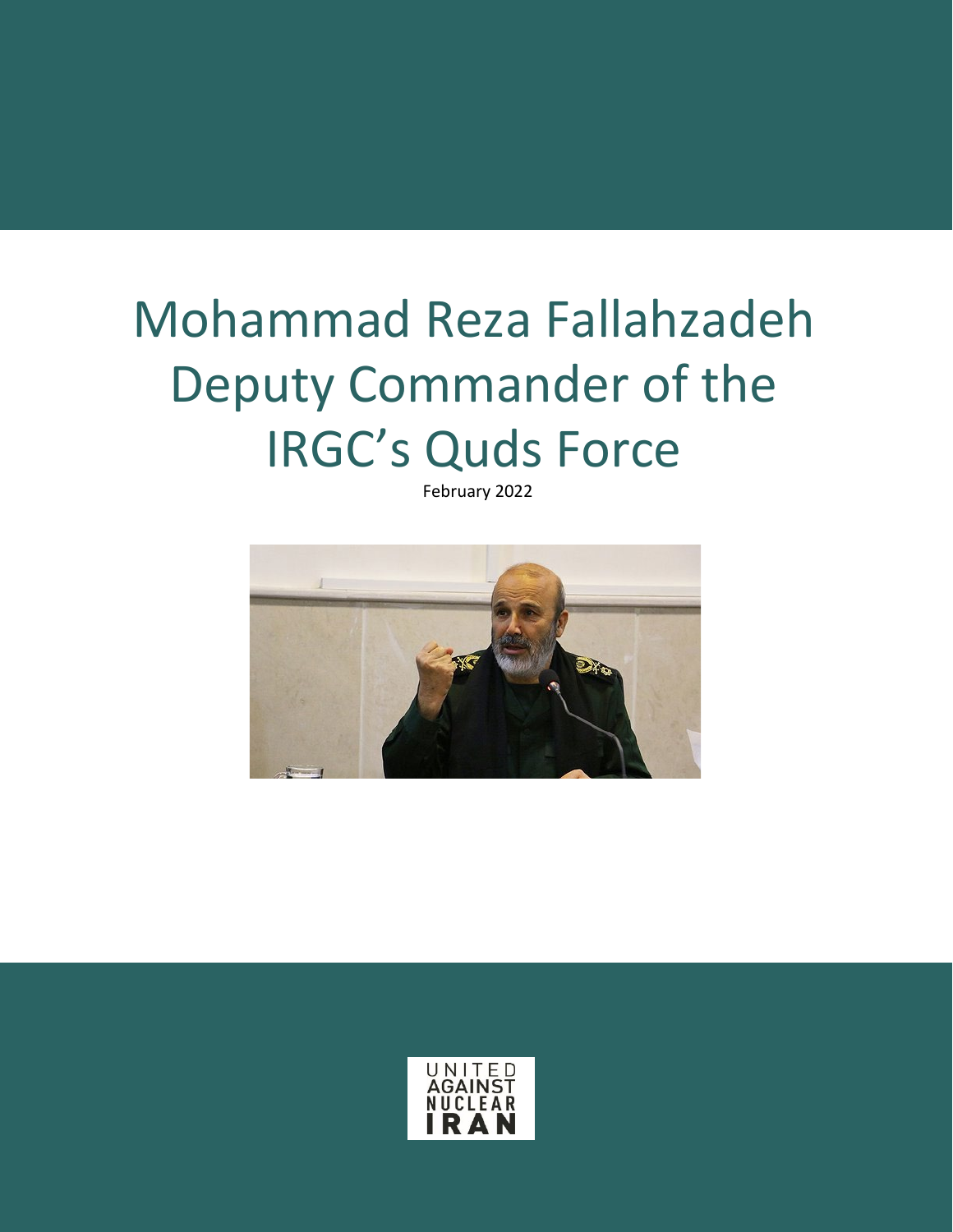## Mohammad Reza Fallahzadeh Deputy Commander of the IRGC's Quds Force

February 2022



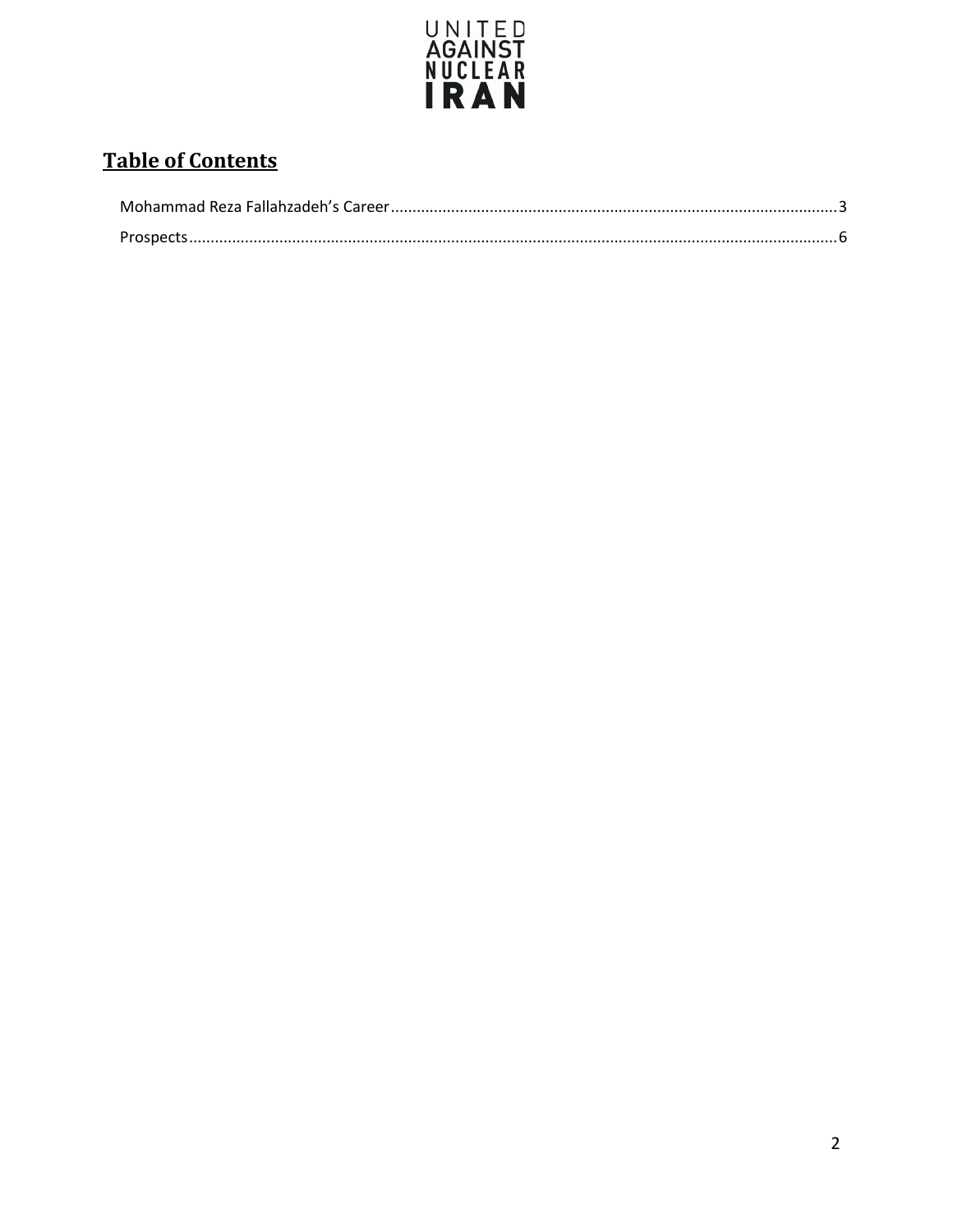

### **Table of Contents**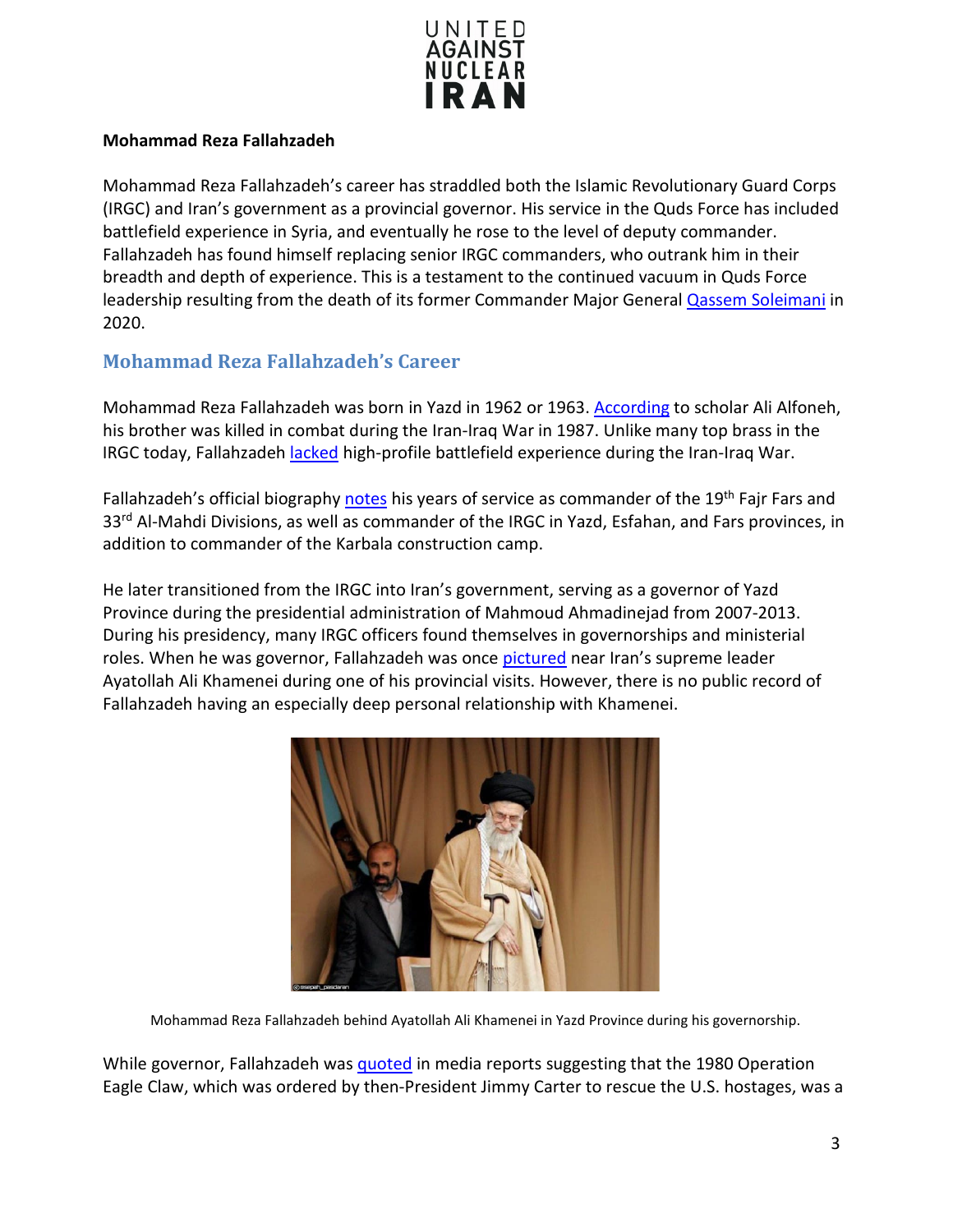

#### **Mohammad Reza Fallahzadeh**

Mohammad Reza Fallahzadeh's career has straddled both the Islamic Revolutionary Guard Corps (IRGC) and Iran's government as a provincial governor. His service in the Quds Force has included battlefield experience in Syria, and eventually he rose to the level of deputy commander. Fallahzadeh has found himself replacing senior IRGC commanders, who outrank him in their breadth and depth of experience. This is a testament to the continued vacuum in Quds Force leadership resulting from the death of its former Commander Major General [Qassem Soleimani](https://www.unitedagainstnucleariran.com/major-general-qassem-soleimani-former-irgc-quds-force-commander) in 2020.

#### <span id="page-2-0"></span>**Mohammad Reza Fallahzadeh's Career**

Mohammad Reza Fallahzadeh was born in Yazd in 1962 or 1963[. According](https://www.washingtoninstitute.org/policy-analysis/who-mohammad-reza-fallahzadeh-new-deputy-commander-irans-qods-force) to scholar Ali Alfoneh, his brother was killed in combat during the Iran-Iraq War in 1987. Unlike many top brass in the IRGC today, Fallahzadeh [lacked](https://www.washingtoninstitute.org/policy-analysis/who-mohammad-reza-fallahzadeh-new-deputy-commander-irans-qods-force) high-profile battlefield experience during the Iran-Iraq War.

Fallahzadeh's official biography [notes](https://iranpress.com/content/37452/gen-fallahzadeh-appointed-deputy-commander-irgc-quds-force) his years of service as commander of the 19<sup>th</sup> Fajr Fars and 33<sup>rd</sup> Al-Mahdi Divisions, as well as commander of the IRGC in Yazd, Esfahan, and Fars provinces, in addition to commander of the Karbala construction camp.

He later transitioned from the IRGC into Iran's government, serving as a governor of Yazd Province during the presidential administration of Mahmoud Ahmadinejad from 2007-2013. During his presidency, many IRGC officers found themselves in governorships and ministerial roles. When he was governor, Fallahzadeh was once [pictured](https://twitter.com/JasonMBrodsky/status/1384240829271740425) near Iran's supreme leader Ayatollah Ali Khamenei during one of his provincial visits. However, there is no public record of Fallahzadeh having an especially deep personal relationship with Khamenei.



Mohammad Reza Fallahzadeh behind Ayatollah Ali Khamenei in Yazd Province during his governorship.

While governor, Fallahzadeh wa[s quoted](https://www.registercitizen.com/news/article/Iran-marks-anniversary-of-failed-U-S-rescue-12106480.php) in media reports suggesting that the 1980 Operation Eagle Claw, which was ordered by then-President Jimmy Carter to rescue the U.S. hostages, was a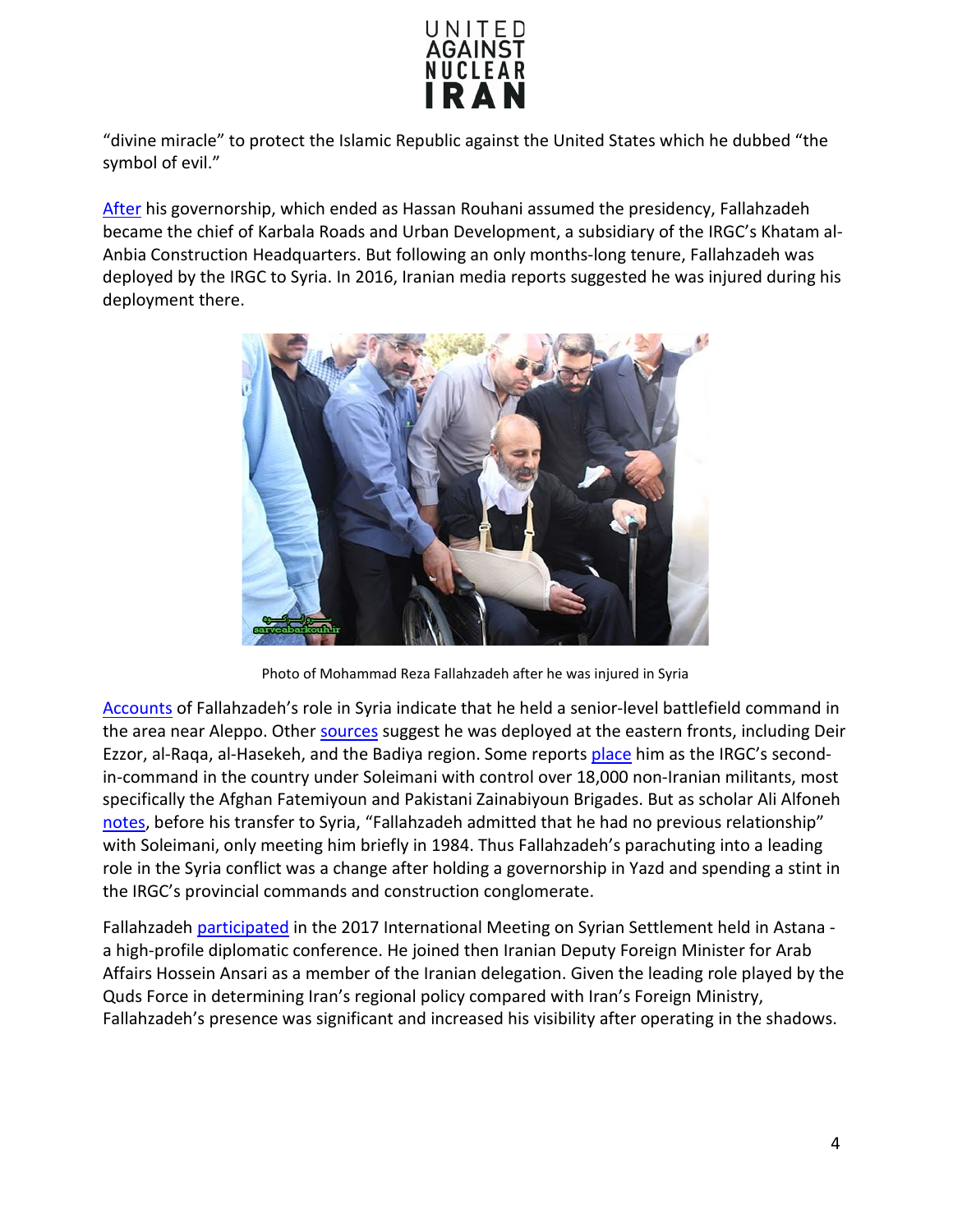

"divine miracle" to protect the Islamic Republic against the United States which he dubbed "the symbol of evil."

[After](https://www.washingtoninstitute.org/policy-analysis/who-mohammad-reza-fallahzadeh-new-deputy-commander-irans-qods-force) his governorship, which ended as Hassan Rouhani assumed the presidency, Fallahzadeh became the chief of Karbala Roads and Urban Development, a subsidiary of the IRGC's Khatam al-Anbia Construction Headquarters. But following an only months-long tenure, Fallahzadeh was deployed by the IRGC to Syria. In 2016, Iranian media reports suggested he was injured during his deployment there.



Photo of Mohammad Reza Fallahzadeh after he was injured in Syria

[Accounts](https://www.washingtoninstitute.org/policy-analysis/who-mohammad-reza-fallahzadeh-new-deputy-commander-irans-qods-force) of Fallahzadeh's role in Syria indicate that he held a senior-level battlefield command in the area near Aleppo. Other [sources](https://diyaruna.com/en_GB/articles/cnmi_di/features/2018/01/25/feature-01) suggest he was deployed at the eastern fronts, including Deir Ezzor, al-Raqa, al-Hasekeh, and the Badiya region. Some reports [place](https://diyaruna.com/en_GB/articles/cnmi_di/features/2018/01/25/feature-01) him as the IRGC's secondin-command in the country under Soleimani with control over 18,000 non-Iranian militants, most specifically the Afghan Fatemiyoun and Pakistani Zainabiyoun Brigades. But as scholar Ali Alfoneh [notes,](https://www.washingtoninstitute.org/policy-analysis/who-mohammad-reza-fallahzadeh-new-deputy-commander-irans-qods-force) before his transfer to Syria, "Fallahzadeh admitted that he had no previous relationship" with Soleimani, only meeting him briefly in 1984. Thus Fallahzadeh's parachuting into a leading role in the Syria conflict was a change after holding a governorship in Yazd and spending a stint in the IRGC's provincial commands and construction conglomerate.

Fallahzadeh [participated](https://www.mei.edu/publications/top-iran-military-figure-astana) in the 2017 International Meeting on Syrian Settlement held in Astana a high-profile diplomatic conference. He joined then Iranian Deputy Foreign Minister for Arab Affairs Hossein Ansari as a member of the Iranian delegation. Given the leading role played by the Quds Force in determining Iran's regional policy compared with Iran's Foreign Ministry, Fallahzadeh's presence was significant and increased his visibility after operating in the shadows.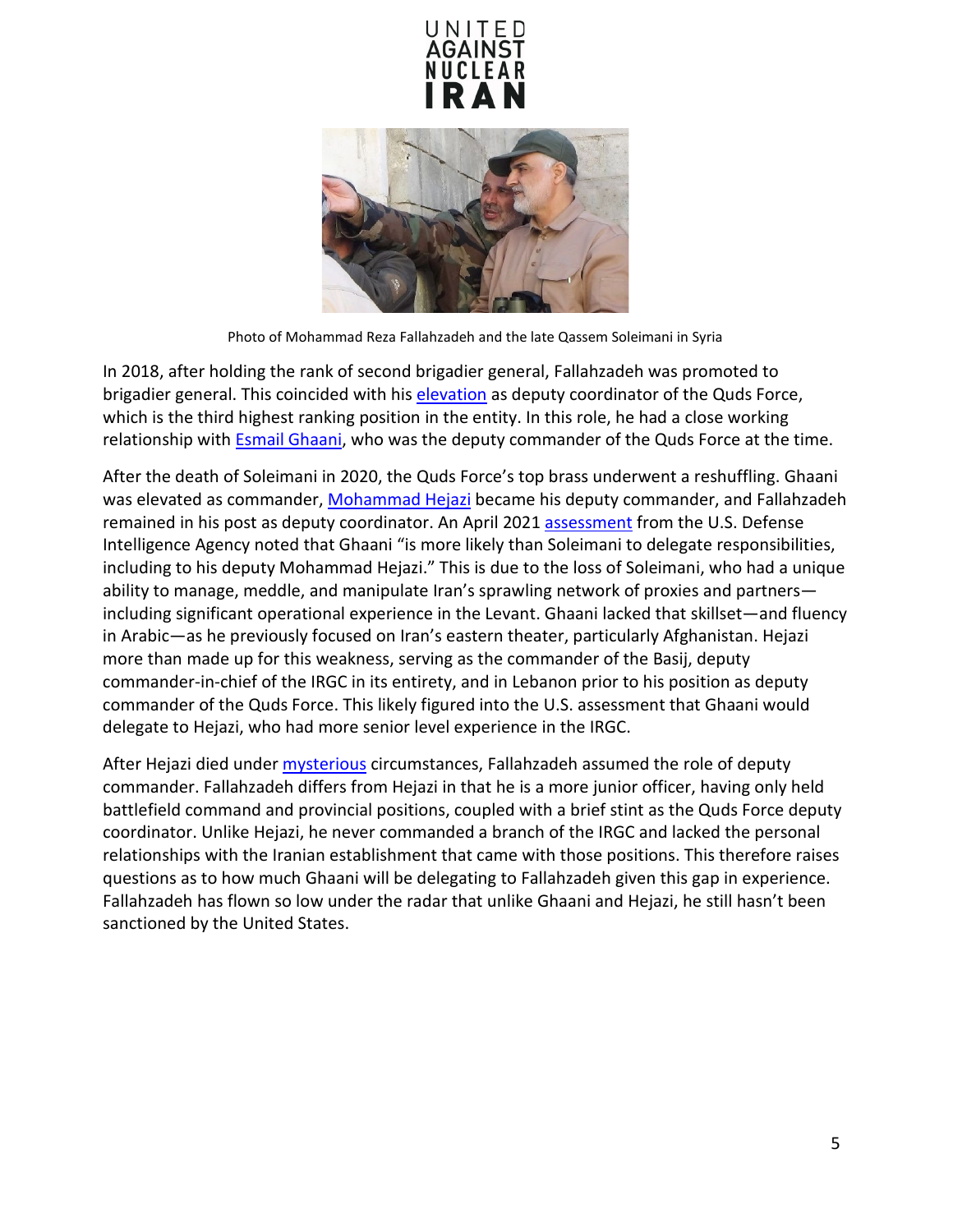



Photo of Mohammad Reza Fallahzadeh and the late Qassem Soleimani in Syria

In 2018, after holding the rank of second brigadier general, Fallahzadeh was promoted to brigadier general. This coincided with hi[s elevation](https://iranwire.com/en/features/9390) as deputy coordinator of the Quds Force, which is the third highest ranking position in the entity. In this role, he had a close working relationship with [Esmail Ghaani,](https://www.unitedagainstnucleariran.com/brigadier-general-esmail-qaani-commander-of-irgcs-quds-force) who was the deputy commander of the Quds Force at the time.

After the death of Soleimani in 2020, the Quds Force's top brass underwent a reshuffling. Ghaani was elevated as commander, [Mohammad Hejazi](https://www.unitedagainstnucleariran.com/mohammad-hejazi-former-deputy-commander-of-irgcs-quds-force) became his deputy commander, and Fallahzadeh remained in his post as deputy coordinator. An April 2021 [assessment](https://www.dia.mil/Articles/Speeches-and-Testimonies/Article/2590462/statement-for-the-record-worldwide-threat-assessment/) from the U.S. Defense Intelligence Agency noted that Ghaani "is more likely than Soleimani to delegate responsibilities, including to his deputy Mohammad Hejazi." This is due to the loss of Soleimani, who had a unique ability to manage, meddle, and manipulate Iran's sprawling network of proxies and partners including significant operational experience in the Levant. Ghaani lacked that skillset—and fluency in Arabic—as he previously focused on Iran's eastern theater, particularly Afghanistan. Hejazi more than made up for this weakness, serving as the commander of the Basij, deputy commander-in-chief of the IRGC in its entirety, and in Lebanon prior to his position as deputy commander of the Quds Force. This likely figured into the U.S. assessment that Ghaani would delegate to Hejazi, who had more senior level experience in the IRGC.

After Hejazi died under **mysterious** circumstances, Fallahzadeh assumed the role of deputy commander. Fallahzadeh differs from Hejazi in that he is a more junior officer, having only held battlefield command and provincial positions, coupled with a brief stint as the Quds Force deputy coordinator. Unlike Hejazi, he never commanded a branch of the IRGC and lacked the personal relationships with the Iranian establishment that came with those positions. This therefore raises questions as to how much Ghaani will be delegating to Fallahzadeh given this gap in experience. Fallahzadeh has flown so low under the radar that unlike Ghaani and Hejazi, he still hasn't been sanctioned by the United States.